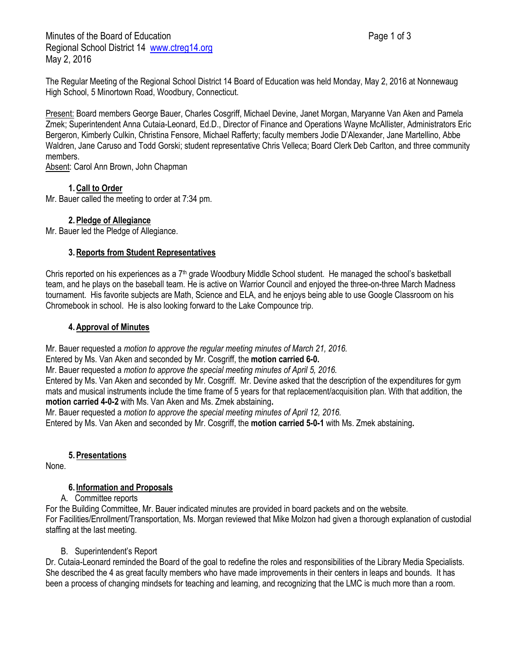Minutes of the Board of Education **Page 1 of 3** Page 1 of 3 Regional School District 14 [www.ctreg14.org](http://www.ctreg14.org/) May 2, 2016

The Regular Meeting of the Regional School District 14 Board of Education was held Monday, May 2, 2016 at Nonnewaug High School, 5 Minortown Road, Woodbury, Connecticut.

Present: Board members George Bauer, Charles Cosgriff, Michael Devine, Janet Morgan, Maryanne Van Aken and Pamela Zmek; Superintendent Anna Cutaia-Leonard, Ed.D., Director of Finance and Operations Wayne McAllister, Administrators Eric Bergeron, Kimberly Culkin, Christina Fensore, Michael Rafferty; faculty members Jodie D'Alexander, Jane Martellino, Abbe Waldren, Jane Caruso and Todd Gorski; student representative Chris Velleca; Board Clerk Deb Carlton, and three community members.

Absent: Carol Ann Brown, John Chapman

# **1.Call to Order**

Mr. Bauer called the meeting to order at 7:34 pm.

# **2.Pledge of Allegiance**

Mr. Bauer led the Pledge of Allegiance.

## **3.Reports from Student Representatives**

Chris reported on his experiences as a  $7<sup>th</sup>$  grade Woodbury Middle School student. He managed the school's basketball team, and he plays on the baseball team. He is active on Warrior Council and enjoyed the three-on-three March Madness tournament. His favorite subjects are Math, Science and ELA, and he enjoys being able to use Google Classroom on his Chromebook in school. He is also looking forward to the Lake Compounce trip.

## **4.Approval of Minutes**

Mr. Bauer requested a *motion to approve the regular meeting minutes of March 21, 2016.*

Entered by Ms. Van Aken and seconded by Mr. Cosgriff, the **motion carried 6-0.**

Mr. Bauer requested a *motion to approve the special meeting minutes of April 5, 2016.* 

Entered by Ms. Van Aken and seconded by Mr. Cosgriff. Mr. Devine asked that the description of the expenditures for gym mats and musical instruments include the time frame of 5 years for that replacement/acquisition plan. With that addition, the **motion carried 4-0-2** with Ms. Van Aken and Ms. Zmek abstaining**.**

Mr. Bauer requested a *motion to approve the special meeting minutes of April 12, 2016.* 

Entered by Ms. Van Aken and seconded by Mr. Cosgriff, the **motion carried 5-0-1** with Ms. Zmek abstaining**.**

## **5.Presentations**

None.

## **6. Information and Proposals**

A. Committee reports

For the Building Committee, Mr. Bauer indicated minutes are provided in board packets and on the website. For Facilities/Enrollment/Transportation, Ms. Morgan reviewed that Mike Molzon had given a thorough explanation of custodial staffing at the last meeting.

## B. Superintendent's Report

Dr. Cutaia-Leonard reminded the Board of the goal to redefine the roles and responsibilities of the Library Media Specialists. She described the 4 as great faculty members who have made improvements in their centers in leaps and bounds. It has been a process of changing mindsets for teaching and learning, and recognizing that the LMC is much more than a room.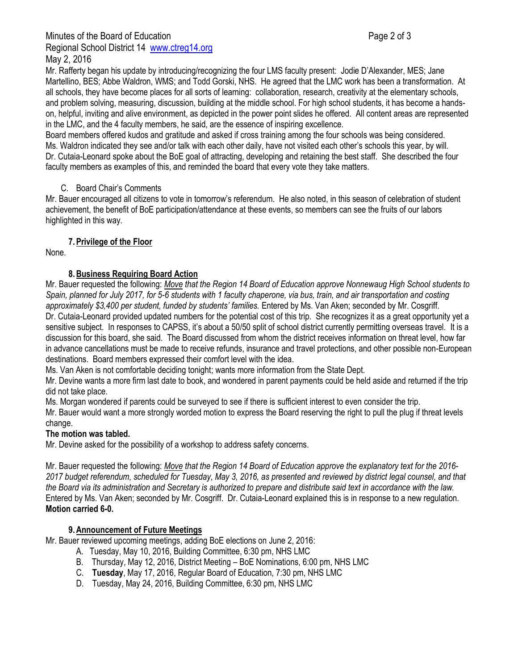#### Minutes of the Board of Education **Page 2 of 3** and 2 of 3 Regional School District 14 [www.ctreg14.org](http://www.ctreg14.org/) May 2, 2016

Mr. Rafferty began his update by introducing/recognizing the four LMS faculty present: Jodie D'Alexander, MES; Jane Martellino, BES; Abbe Waldron, WMS; and Todd Gorski, NHS. He agreed that the LMC work has been a transformation. At all schools, they have become places for all sorts of learning: collaboration, research, creativity at the elementary schools, and problem solving, measuring, discussion, building at the middle school. For high school students, it has become a handson, helpful, inviting and alive environment, as depicted in the power point slides he offered. All content areas are represented in the LMC, and the 4 faculty members, he said, are the essence of inspiring excellence.

Board members offered kudos and gratitude and asked if cross training among the four schools was being considered. Ms. Waldron indicated they see and/or talk with each other daily, have not visited each other's schools this year, by will. Dr. Cutaia-Leonard spoke about the BoE goal of attracting, developing and retaining the best staff. She described the four faculty members as examples of this, and reminded the board that every vote they take matters.

# C. Board Chair's Comments

Mr. Bauer encouraged all citizens to vote in tomorrow's referendum. He also noted, in this season of celebration of student achievement, the benefit of BoE participation/attendance at these events, so members can see the fruits of our labors highlighted in this way.

# **7.Privilege of the Floor**

None.

# **8.Business Requiring Board Action**

Mr. Bauer requested the following: *Move that the Region 14 Board of Education approve Nonnewaug High School students to Spain, planned for July 2017, for 5-6 students with 1 faculty chaperone, via bus, train, and air transportation and costing approximately \$3,400 per student, funded by students' families.* Entered by Ms. Van Aken; seconded by Mr. Cosgriff. Dr. Cutaia-Leonard provided updated numbers for the potential cost of this trip. She recognizes it as a great opportunity yet a sensitive subject. In responses to CAPSS, it's about a 50/50 split of school district currently permitting overseas travel. It is a discussion for this board, she said. The Board discussed from whom the district receives information on threat level, how far in advance cancellations must be made to receive refunds, insurance and travel protections, and other possible non-European destinations. Board members expressed their comfort level with the idea.

Ms. Van Aken is not comfortable deciding tonight; wants more information from the State Dept.

Mr. Devine wants a more firm last date to book, and wondered in parent payments could be held aside and returned if the trip did not take place.

Ms. Morgan wondered if parents could be surveyed to see if there is sufficient interest to even consider the trip.

Mr. Bauer would want a more strongly worded motion to express the Board reserving the right to pull the plug if threat levels change.

## **The motion was tabled.**

Mr. Devine asked for the possibility of a workshop to address safety concerns.

Mr. Bauer requested the following: *Move that the Region 14 Board of Education approve the explanatory text for the 2016- 2017 budget referendum, scheduled for Tuesday, May 3, 2016, as presented and reviewed by district legal counsel, and that the Board via its administration and Secretary is authorized to prepare and distribute said text in accordance with the law.* Entered by Ms. Van Aken; seconded by Mr. Cosgriff. Dr. Cutaia-Leonard explained this is in response to a new regulation. **Motion carried 6-0.**

## **9.Announcement of Future Meetings**

Mr. Bauer reviewed upcoming meetings, adding BoE elections on June 2, 2016:

- A. Tuesday, May 10, 2016, Building Committee, 6:30 pm, NHS LMC
- B. Thursday, May 12, 2016, District Meeting BoE Nominations, 6:00 pm, NHS LMC
- C. **Tuesday**, May 17, 2016, Regular Board of Education, 7:30 pm, NHS LMC
- D. Tuesday, May 24, 2016, Building Committee, 6:30 pm, NHS LMC